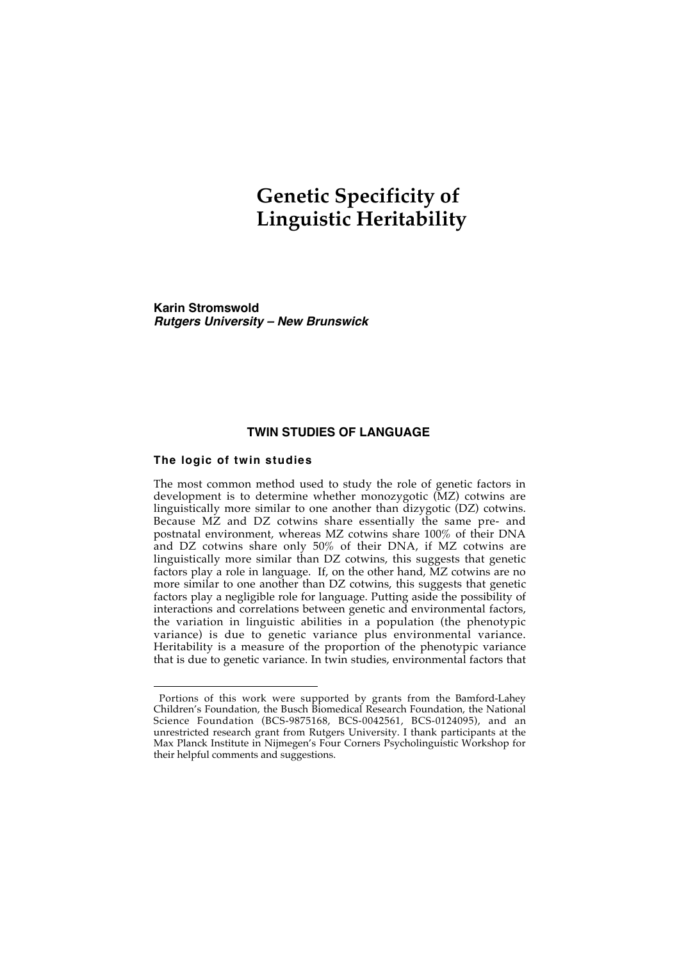# **Genetic Specificity of Linguistic Heritability**

**Karin Stromswold Rutgers University – New Brunswick**

# **TWIN STUDIES OF LANGUAGE\***

# **The logic of twin studies**

 $\overline{a}$ 

The most common method used to study the role of genetic factors in development is to determine whether monozygotic (MZ) cotwins are linguistically more similar to one another than dizygotic (DZ) cotwins. Because MZ and DZ cotwins share essentially the same pre- and postnatal environment, whereas MZ cotwins share 100% of their DNA and DZ cotwins share only 50% of their DNA, if MZ cotwins are linguistically more similar than DZ cotwins, this suggests that genetic factors play a role in language. If, on the other hand, MZ cotwins are no more similar to one another than DZ cotwins, this suggests that genetic factors play a negligible role for language. Putting aside the possibility of interactions and correlations between genetic and environmental factors, the variation in linguistic abilities in a population (the phenotypic variance) is due to genetic variance plus environmental variance. Heritability is a measure of the proportion of the phenotypic variance that is due to genetic variance. In twin studies, environmental factors that

Portions of this work were supported by grants from the Bamford-Lahey Children's Foundation, the Busch Biomedical Research Foundation, the National Science Foundation (BCS-9875168, BCS-0042561, BCS-0124095), and an unrestricted research grant from Rutgers University. I thank participants at the Max Planck Institute in Nijmegen's Four Corners Psycholinguistic Workshop for their helpful comments and suggestions.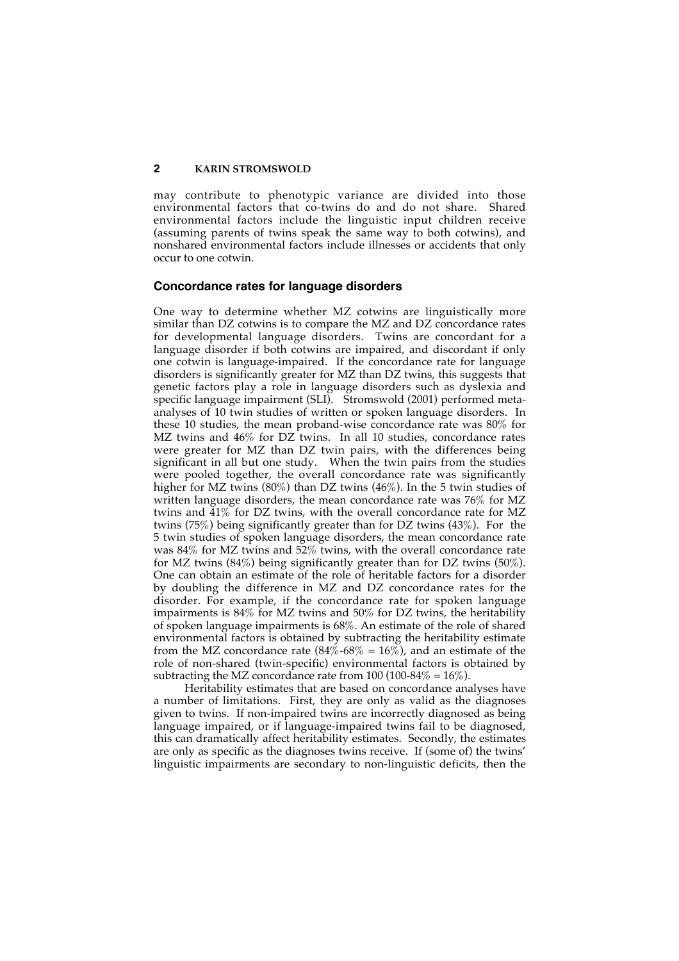may contribute to phenotypic variance are divided into those environmental factors that co-twins do and do not share. Shared environmental factors include the linguistic input children receive (assuming parents of twins speak the same way to both cotwins), and nonshared environmental factors include illnesses or accidents that only occur to one cotwin.

### **Concordance rates for language disorders**

One way to determine whether MZ cotwins are linguistically more similar than DZ cotwins is to compare the MZ and DZ concordance rates for developmental language disorders. Twins are concordant for a language disorder if both cotwins are impaired, and discordant if only one cotwin is language-impaired. If the concordance rate for language disorders is significantly greater for MZ than DZ twins, this suggests that genetic factors play a role in language disorders such as dyslexia and specific language impairment (SLI). Stromswold (2001) performed metaanalyses of 10 twin studies of written or spoken language disorders. In these 10 studies, the mean proband-wise concordance rate was 80% for MZ twins and 46% for DZ twins. In all 10 studies, concordance rates were greater for MZ than DZ twin pairs, with the differences being significant in all but one study. When the twin pairs from the studies were pooled together, the overall concordance rate was significantly higher for MZ twins (80%) than DZ twins (46%). In the 5 twin studies of written language disorders, the mean concordance rate was 76% for MZ twins and 41% for DZ twins, with the overall concordance rate for MZ twins (75%) being significantly greater than for DZ twins (43%). For the 5 twin studies of spoken language disorders, the mean concordance rate was 84% for MZ twins and 52% twins, with the overall concordance rate for MZ twins (84%) being significantly greater than for DZ twins (50%). One can obtain an estimate of the role of heritable factors for a disorder by doubling the difference in MZ and DZ concordance rates for the disorder. For example, if the concordance rate for spoken language impairments is 84% for MZ twins and 50% for DZ twins, the heritability of spoken language impairments is 68%. An estimate of the role of shared environmental factors is obtained by subtracting the heritability estimate from the MZ concordance rate  $(84\% - 68\% = 16\%)$ , and an estimate of the role of non-shared (twin-specific) environmental factors is obtained by subtracting the MZ concordance rate from 100 (100-84 $\% = 16\%$ ).

Heritability estimates that are based on concordance analyses have a number of limitations. First, they are only as valid as the diagnoses given to twins. If non-impaired twins are incorrectly diagnosed as being language impaired, or if language-impaired twins fail to be diagnosed, this can dramatically affect heritability estimates. Secondly, the estimates are only as specific as the diagnoses twins receive. If (some of) the twins' linguistic impairments are secondary to non-linguistic deficits, then the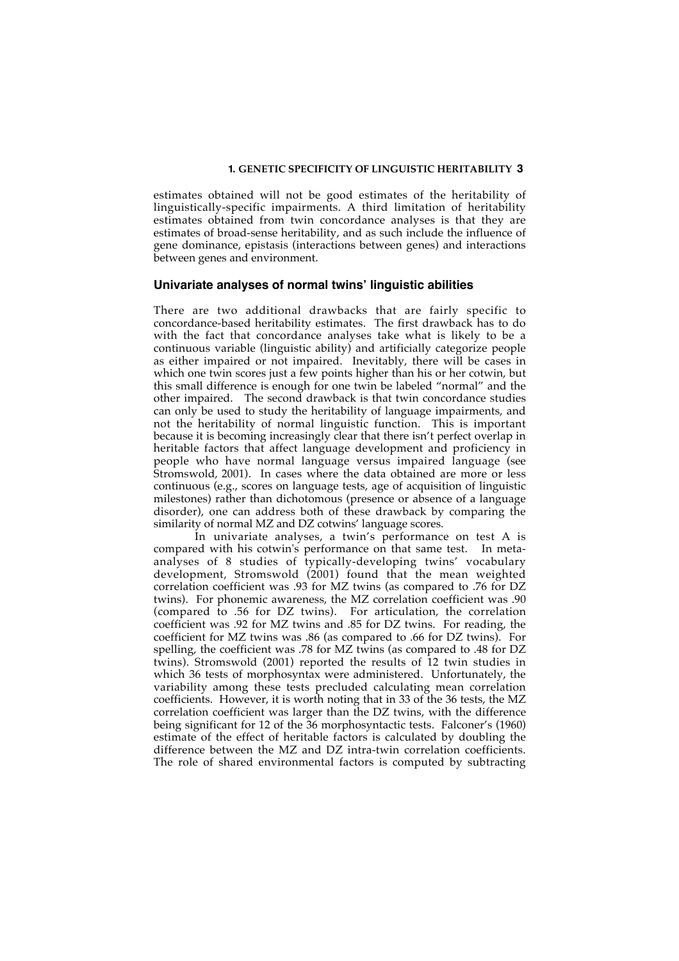estimates obtained will not be good estimates of the heritability of linguistically-specific impairments. A third limitation of heritability estimates obtained from twin concordance analyses is that they are estimates of broad-sense heritability, and as such include the influence of gene dominance, epistasis (interactions between genes) and interactions between genes and environment.

### **Univariate analyses of normal twins' linguistic abilities**

There are two additional drawbacks that are fairly specific to concordance-based heritability estimates. The first drawback has to do with the fact that concordance analyses take what is likely to be a continuous variable (linguistic ability) and artificially categorize people as either impaired or not impaired. Inevitably, there will be cases in which one twin scores just a few points higher than his or her cotwin, but this small difference is enough for one twin be labeled "normal" and the other impaired. The second drawback is that twin concordance studies can only be used to study the heritability of language impairments, and not the heritability of normal linguistic function. This is important because it is becoming increasingly clear that there isn't perfect overlap in heritable factors that affect language development and proficiency in people who have normal language versus impaired language (see Stromswold, 2001). In cases where the data obtained are more or less continuous (e.g., scores on language tests, age of acquisition of linguistic milestones) rather than dichotomous (presence or absence of a language disorder), one can address both of these drawback by comparing the similarity of normal MZ and DZ cotwins' language scores.

In univariate analyses, a twin's performance on test A is compared with his cotwin's performance on that same test. In metaanalyses of 8 studies of typically-developing twins' vocabulary development, Stromswold (2001) found that the mean weighted correlation coefficient was .93 for MZ twins (as compared to .76 for DZ twins). For phonemic awareness, the MZ correlation coefficient was .90 (compared to .56 for DZ twins). For articulation, the correlation coefficient was .92 for MZ twins and .85 for DZ twins. For reading, the coefficient for MZ twins was .86 (as compared to .66 for DZ twins). For spelling, the coefficient was .78 for MZ twins (as compared to .48 for DZ twins). Stromswold (2001) reported the results of 12 twin studies in which 36 tests of morphosyntax were administered. Unfortunately, the variability among these tests precluded calculating mean correlation coefficients. However, it is worth noting that in 33 of the 36 tests, the MZ correlation coefficient was larger than the DZ twins, with the difference being significant for 12 of the 36 morphosyntactic tests. Falconer's (1960) estimate of the effect of heritable factors is calculated by doubling the difference between the MZ and DZ intra-twin correlation coefficients. The role of shared environmental factors is computed by subtracting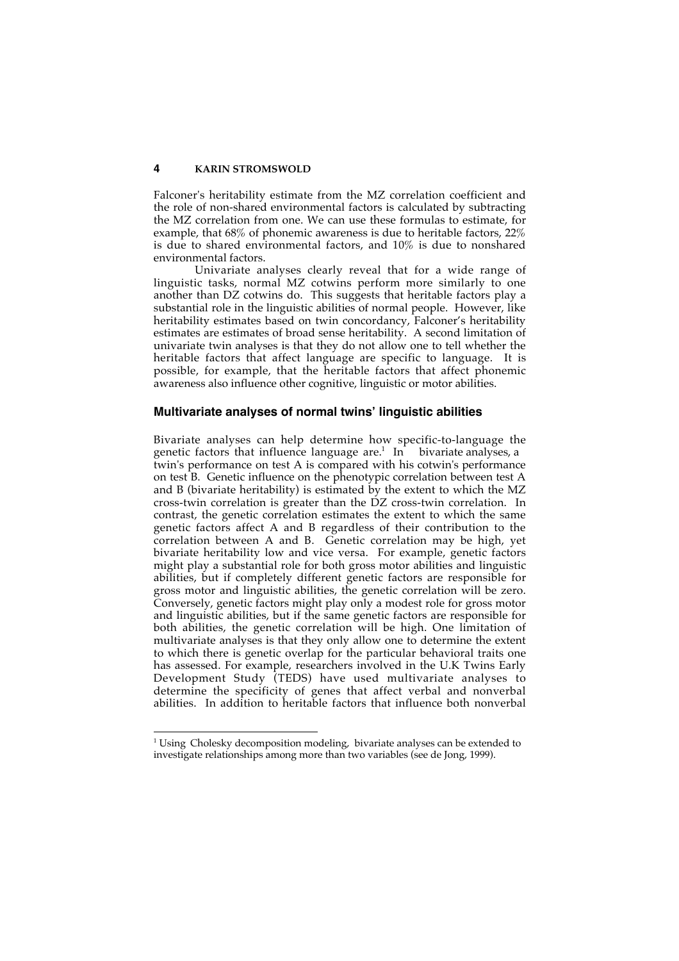Falconer's heritability estimate from the MZ correlation coefficient and the role of non-shared environmental factors is calculated by subtracting the MZ correlation from one. We can use these formulas to estimate, for example, that 68% of phonemic awareness is due to heritable factors, 22% is due to shared environmental factors, and 10% is due to nonshared environmental factors.

Univariate analyses clearly reveal that for a wide range of linguistic tasks, normal MZ cotwins perform more similarly to one another than DZ cotwins do. This suggests that heritable factors play a substantial role in the linguistic abilities of normal people. However, like heritability estimates based on twin concordancy, Falconer's heritability estimates are estimates of broad sense heritability. A second limitation of univariate twin analyses is that they do not allow one to tell whether the heritable factors that affect language are specific to language. It is possible, for example, that the heritable factors that affect phonemic awareness also influence other cognitive, linguistic or motor abilities.

# **Multivariate analyses of normal twins' linguistic abilities**

Bivariate analyses can help determine how specific-to-language the genetic factors that influence language are.<sup>1</sup> In bivariate analyses, a twin's performance on test A is compared with his cotwin's performance on test B. Genetic influence on the phenotypic correlation between test A and B (bivariate heritability) is estimated by the extent to which the MZ cross-twin correlation is greater than the DZ cross-twin correlation. In contrast, the genetic correlation estimates the extent to which the same genetic factors affect A and B regardless of their contribution to the correlation between A and B. Genetic correlation may be high, yet bivariate heritability low and vice versa. For example, genetic factors might play a substantial role for both gross motor abilities and linguistic abilities, but if completely different genetic factors are responsible for gross motor and linguistic abilities, the genetic correlation will be zero. Conversely, genetic factors might play only a modest role for gross motor and linguistic abilities, but if the same genetic factors are responsible for both abilities, the genetic correlation will be high. One limitation of multivariate analyses is that they only allow one to determine the extent to which there is genetic overlap for the particular behavioral traits one has assessed. For example, researchers involved in the U.K Twins Early Development Study (TEDS) have used multivariate analyses to determine the specificity of genes that affect verbal and nonverbal abilities. In addition to heritable factors that influence both nonverbal

 $\overline{a}$ 

<sup>&</sup>lt;sup>1</sup> Using Cholesky decomposition modeling, bivariate analyses can be extended to investigate relationships among more than two variables (see de Jong, 1999).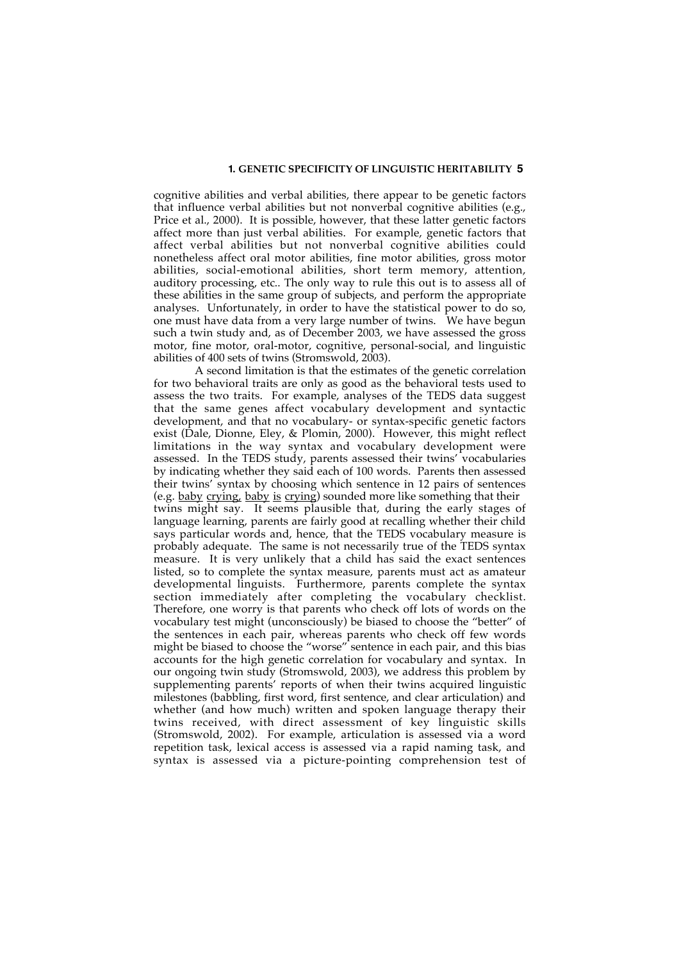cognitive abilities and verbal abilities, there appear to be genetic factors that influence verbal abilities but not nonverbal cognitive abilities (e.g., Price et al., 2000). It is possible, however, that these latter genetic factors affect more than just verbal abilities. For example, genetic factors that affect verbal abilities but not nonverbal cognitive abilities could nonetheless affect oral motor abilities, fine motor abilities, gross motor abilities, social-emotional abilities, short term memory, attention, auditory processing, etc.. The only way to rule this out is to assess all of these abilities in the same group of subjects, and perform the appropriate analyses. Unfortunately, in order to have the statistical power to do so, one must have data from a very large number of twins. We have begun such a twin study and, as of December 2003, we have assessed the gross motor, fine motor, oral-motor, cognitive, personal-social, and linguistic abilities of 400 sets of twins (Stromswold, 2003).

A second limitation is that the estimates of the genetic correlation for two behavioral traits are only as good as the behavioral tests used to assess the two traits. For example, analyses of the TEDS data suggest that the same genes affect vocabulary development and syntactic development, and that no vocabulary- or syntax-specific genetic factors exist (Dale, Dionne, Eley, & Plomin, 2000). However, this might reflect limitations in the way syntax and vocabulary development were assessed. In the TEDS study, parents assessed their twins' vocabularies by indicating whether they said each of 100 words. Parents then assessed their twins' syntax by choosing which sentence in 12 pairs of sentences (e.g. baby crying, baby is crying) sounded more like something that their twins might say. It seems plausible that, during the early stages of language learning, parents are fairly good at recalling whether their child says particular words and, hence, that the TEDS vocabulary measure is probably adequate. The same is not necessarily true of the TEDS syntax measure. It is very unlikely that a child has said the exact sentences listed, so to complete the syntax measure, parents must act as amateur developmental linguists. Furthermore, parents complete the syntax section immediately after completing the vocabulary checklist. Therefore, one worry is that parents who check off lots of words on the vocabulary test might (unconsciously) be biased to choose the "better" of the sentences in each pair, whereas parents who check off few words might be biased to choose the "worse" sentence in each pair, and this bias accounts for the high genetic correlation for vocabulary and syntax. In our ongoing twin study (Stromswold, 2003), we address this problem by supplementing parents' reports of when their twins acquired linguistic milestones (babbling, first word, first sentence, and clear articulation) and whether (and how much) written and spoken language therapy their twins received, with direct assessment of key linguistic skills (Stromswold, 2002). For example, articulation is assessed via a word repetition task, lexical access is assessed via a rapid naming task, and syntax is assessed via a picture-pointing comprehension test of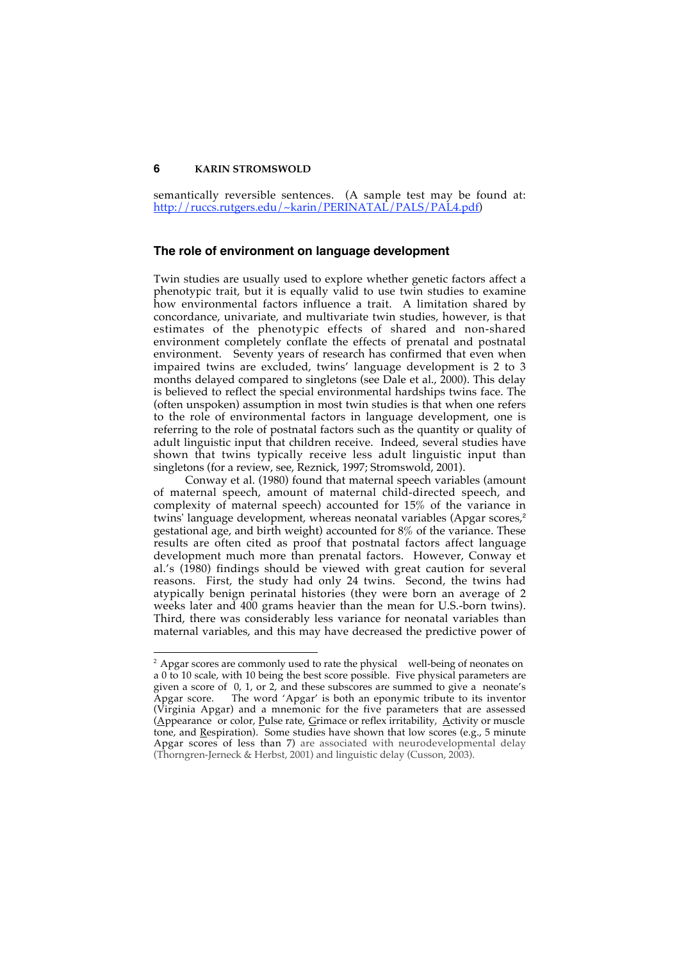$\overline{a}$ 

semantically reversible sentences. (A sample test may be found at: http://ruccs.rutgers.edu/~karin/PERINATAL/PALS/PAL4.pdf)

# **The role of environment on language development**

Twin studies are usually used to explore whether genetic factors affect a phenotypic trait, but it is equally valid to use twin studies to examine how environmental factors influence a trait. A limitation shared by concordance, univariate, and multivariate twin studies, however, is that estimates of the phenotypic effects of shared and non-shared environment completely conflate the effects of prenatal and postnatal environment. Seventy years of research has confirmed that even when impaired twins are excluded, twins' language development is 2 to 3 months delayed compared to singletons (see Dale et al., 2000). This delay is believed to reflect the special environmental hardships twins face. The (often unspoken) assumption in most twin studies is that when one refers to the role of environmental factors in language development, one is referring to the role of postnatal factors such as the quantity or quality of adult linguistic input that children receive. Indeed, several studies have shown that twins typically receive less adult linguistic input than singletons (for a review, see, Reznick, 1997; Stromswold, 2001).

Conway et al. (1980) found that maternal speech variables (amount of maternal speech, amount of maternal child-directed speech, and complexity of maternal speech) accounted for 15% of the variance in twins' language development, whereas neonatal variables (Apgar scores,<sup>2</sup>) gestational age, and birth weight) accounted for 8% of the variance. These results are often cited as proof that postnatal factors affect language development much more than prenatal factors. However, Conway et al.'s (1980) findings should be viewed with great caution for several reasons. First, the study had only 24 twins. Second, the twins had atypically benign perinatal histories (they were born an average of 2 weeks later and 400 grams heavier than the mean for U.S.-born twins). Third, there was considerably less variance for neonatal variables than maternal variables, and this may have decreased the predictive power of

 $2$  Apgar scores are commonly used to rate the physical well-being of neonates on a 0 to 10 scale, with 10 being the best score possible. Five physical parameters are given a score of 0, 1, or 2, and these subscores are summed to give a neonate's Apgar score. The word 'Apgar' is both an eponymic tribute to its inventor (Virginia Apgar) and a mnemonic for the five parameters that are assessed (Appearance or color, Pulse rate, Grimace or reflex irritability, Activity or muscle tone, and Respiration). Some studies have shown that low scores (e.g., 5 minute Apgar scores of less than 7) are associated with neurodevelopmental delay (Thorngren-Jerneck & Herbst, 2001) and linguistic delay (Cusson, 2003).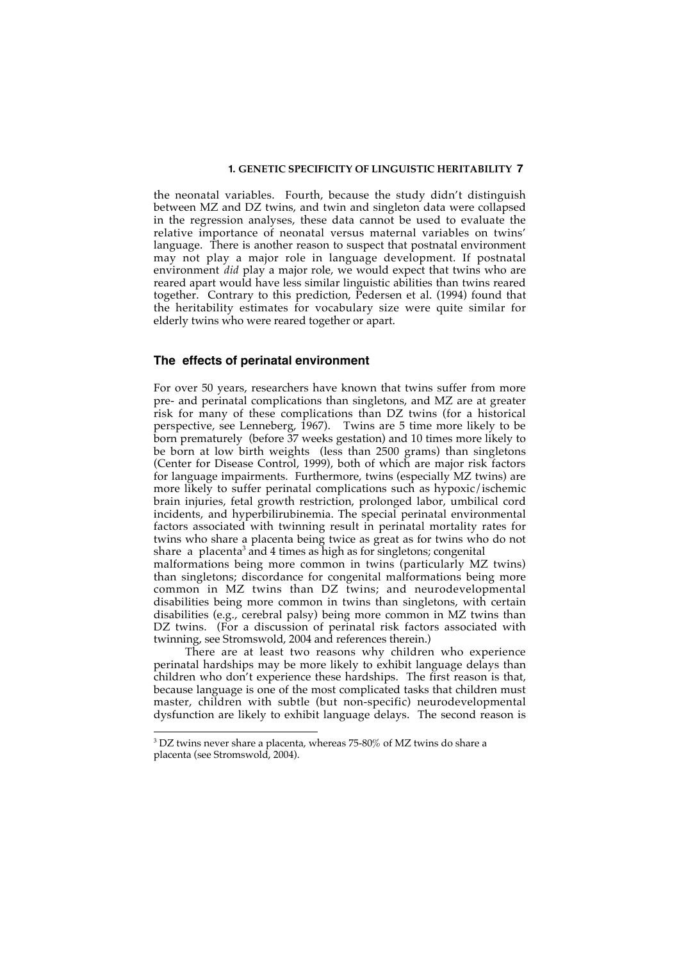the neonatal variables. Fourth, because the study didn't distinguish between MZ and DZ twins, and twin and singleton data were collapsed in the regression analyses, these data cannot be used to evaluate the relative importance of neonatal versus maternal variables on twins' language. There is another reason to suspect that postnatal environment may not play a major role in language development. If postnatal environment *did* play a major role, we would expect that twins who are reared apart would have less similar linguistic abilities than twins reared together. Contrary to this prediction, Pedersen et al. (1994) found that the heritability estimates for vocabulary size were quite similar for elderly twins who were reared together or apart.

#### **The effects of perinatal environment**

For over 50 years, researchers have known that twins suffer from more pre- and perinatal complications than singletons, and MZ are at greater risk for many of these complications than DZ twins (for a historical perspective, see Lenneberg, 1967). Twins are 5 time more likely to be born prematurely (before 37 weeks gestation) and 10 times more likely to be born at low birth weights (less than 2500 grams) than singletons (Center for Disease Control, 1999), both of which are major risk factors for language impairments. Furthermore, twins (especially MZ twins) are more likely to suffer perinatal complications such as hypoxic/ischemic brain injuries, fetal growth restriction, prolonged labor, umbilical cord incidents, and hyperbilirubinemia. The special perinatal environmental factors associated with twinning result in perinatal mortality rates for twins who share a placenta being twice as great as for twins who do not share a placenta<sup>3</sup> and 4 times as high as for singletons; congenital malformations being more common in twins (particularly MZ twins) than singletons; discordance for congenital malformations being more common in MZ twins than DZ twins; and neurodevelopmental disabilities being more common in twins than singletons, with certain disabilities (e.g., cerebral palsy) being more common in MZ twins than DZ twins. (For a discussion of perinatal risk factors associated with twinning, see Stromswold, 2004 and references therein.)

There are at least two reasons why children who experience perinatal hardships may be more likely to exhibit language delays than children who don't experience these hardships. The first reason is that, because language is one of the most complicated tasks that children must master, children with subtle (but non-specific) neurodevelopmental dysfunction are likely to exhibit language delays. The second reason is

 $\overline{a}$ 

 $^3$  DZ twins never share a placenta, whereas 75-80% of MZ twins do share a placenta (see Stromswold, 2004).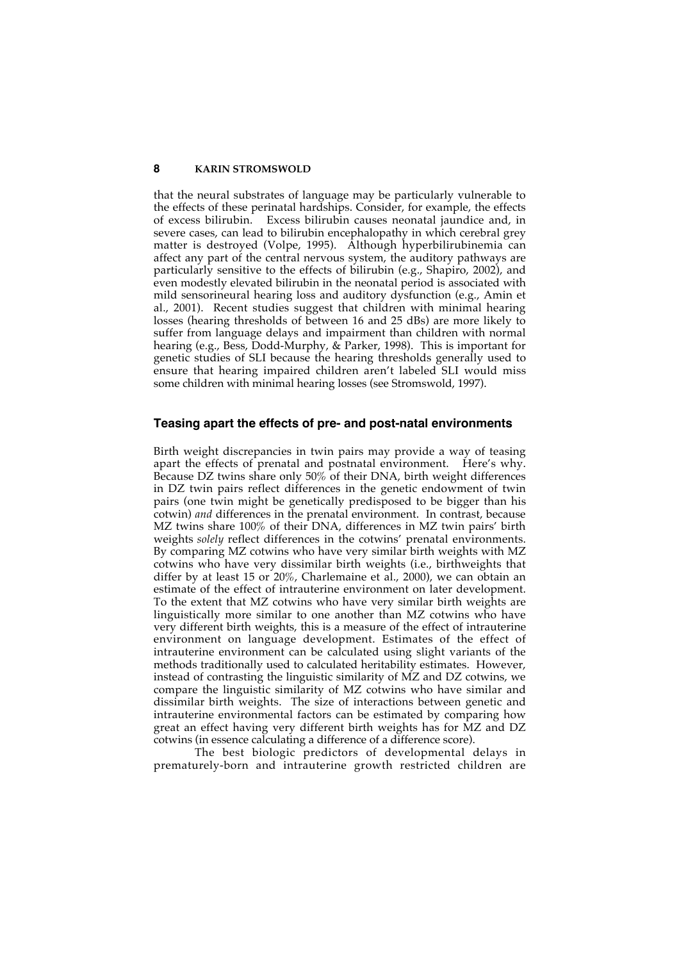that the neural substrates of language may be particularly vulnerable to the effects of these perinatal hardships. Consider, for example, the effects of excess bilirubin. Excess bilirubin causes neonatal jaundice and, in severe cases, can lead to bilirubin encephalopathy in which cerebral grey matter is destroyed (Volpe, 1995). Although hyperbilirubinemia can affect any part of the central nervous system, the auditory pathways are particularly sensitive to the effects of bilirubin (e.g., Shapiro, 2002), and even modestly elevated bilirubin in the neonatal period is associated with mild sensorineural hearing loss and auditory dysfunction (e.g., Amin et al., 2001). Recent studies suggest that children with minimal hearing losses (hearing thresholds of between 16 and 25 dBs) are more likely to suffer from language delays and impairment than children with normal hearing (e.g., Bess, Dodd-Murphy, & Parker, 1998). This is important for genetic studies of SLI because the hearing thresholds generally used to ensure that hearing impaired children aren't labeled SLI would miss some children with minimal hearing losses (see Stromswold, 1997).

# **Teasing apart the effects of pre- and post-natal environments**

Birth weight discrepancies in twin pairs may provide a way of teasing apart the effects of prenatal and postnatal environment. Here's why. Because DZ twins share only 50% of their DNA, birth weight differences in DZ twin pairs reflect differences in the genetic endowment of twin pairs (one twin might be genetically predisposed to be bigger than his cotwin) *and* differences in the prenatal environment. In contrast, because MZ twins share 100% of their DNA, differences in MZ twin pairs' birth weights *solely* reflect differences in the cotwins' prenatal environments. By comparing MZ cotwins who have very similar birth weights with MZ cotwins who have very dissimilar birth weights (i.e., birthweights that differ by at least 15 or 20%, Charlemaine et al., 2000), we can obtain an estimate of the effect of intrauterine environment on later development. To the extent that MZ cotwins who have very similar birth weights are linguistically more similar to one another than MZ cotwins who have very different birth weights, this is a measure of the effect of intrauterine environment on language development. Estimates of the effect of intrauterine environment can be calculated using slight variants of the methods traditionally used to calculated heritability estimates. However, instead of contrasting the linguistic similarity of MZ and DZ cotwins, we compare the linguistic similarity of MZ cotwins who have similar and dissimilar birth weights. The size of interactions between genetic and intrauterine environmental factors can be estimated by comparing how great an effect having very different birth weights has for MZ and DZ cotwins (in essence calculating a difference of a difference score).

The best biologic predictors of developmental delays in prematurely-born and intrauterine growth restricted children are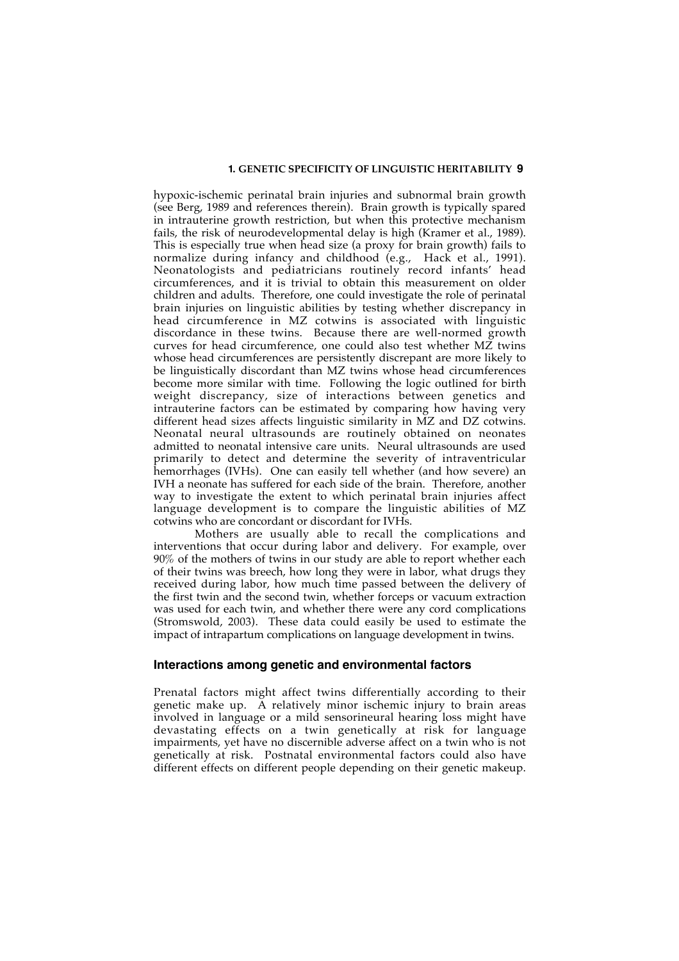hypoxic-ischemic perinatal brain injuries and subnormal brain growth (see Berg, 1989 and references therein). Brain growth is typically spared in intrauterine growth restriction, but when this protective mechanism fails, the risk of neurodevelopmental delay is high (Kramer et al., 1989). This is especially true when head size (a proxy for brain growth) fails to normalize during infancy and childhood (e.g., Hack et al., 1991). Neonatologists and pediatricians routinely record infants' head circumferences, and it is trivial to obtain this measurement on older children and adults. Therefore, one could investigate the role of perinatal brain injuries on linguistic abilities by testing whether discrepancy in head circumference in MZ cotwins is associated with linguistic discordance in these twins. Because there are well-normed growth curves for head circumference, one could also test whether  $M\tilde{Z}$  twins whose head circumferences are persistently discrepant are more likely to be linguistically discordant than MZ twins whose head circumferences become more similar with time. Following the logic outlined for birth weight discrepancy, size of interactions between genetics and intrauterine factors can be estimated by comparing how having very different head sizes affects linguistic similarity in  $\overline{MZ}$  and  $\overline{DZ}$  cotwins. Neonatal neural ultrasounds are routinely obtained on neonates admitted to neonatal intensive care units. Neural ultrasounds are used primarily to detect and determine the severity of intraventricular hemorrhages (IVHs). One can easily tell whether (and how severe) an IVH a neonate has suffered for each side of the brain. Therefore, another way to investigate the extent to which perinatal brain injuries affect language development is to compare the linguistic abilities of MZ cotwins who are concordant or discordant for IVHs.

Mothers are usually able to recall the complications and interventions that occur during labor and delivery. For example, over 90% of the mothers of twins in our study are able to report whether each of their twins was breech, how long they were in labor, what drugs they received during labor, how much time passed between the delivery of the first twin and the second twin, whether forceps or vacuum extraction was used for each twin, and whether there were any cord complications (Stromswold, 2003). These data could easily be used to estimate the impact of intrapartum complications on language development in twins.

### **Interactions among genetic and environmental factors**

Prenatal factors might affect twins differentially according to their genetic make up. A relatively minor ischemic injury to brain areas involved in language or a mild sensorineural hearing loss might have devastating effects on a twin genetically at risk for language impairments, yet have no discernible adverse affect on a twin who is not genetically at risk. Postnatal environmental factors could also have different effects on different people depending on their genetic makeup.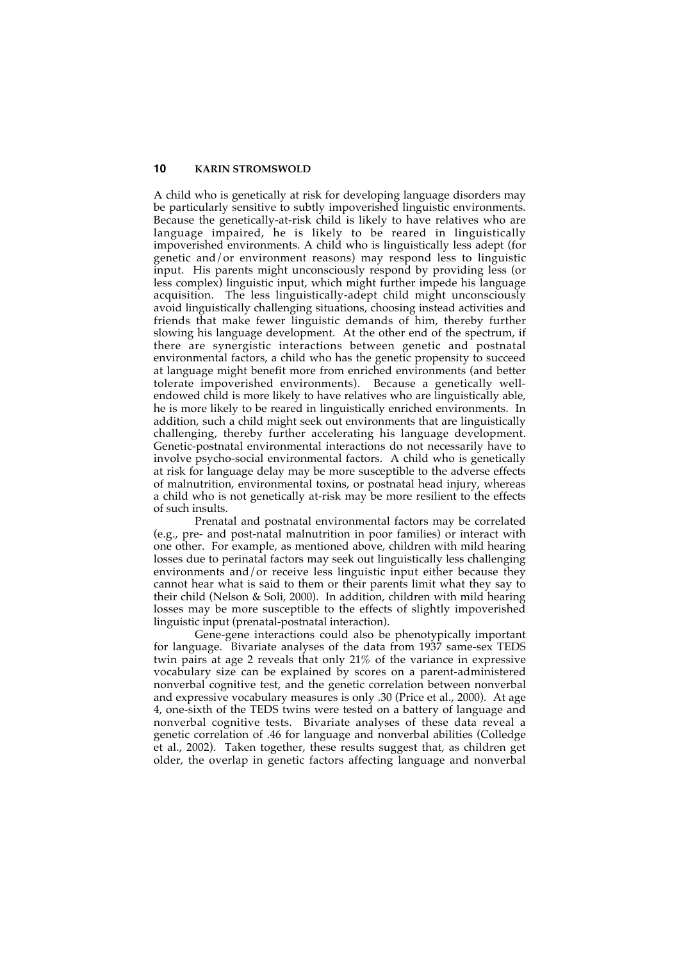A child who is genetically at risk for developing language disorders may be particularly sensitive to subtly impoverished linguistic environments. Because the genetically-at-risk child is likely to have relatives who are language impaired, he is likely to be reared in linguistically impoverished environments. A child who is linguistically less adept (for genetic and/or environment reasons) may respond less to linguistic input. His parents might unconsciously respond by providing less (or less complex) linguistic input, which might further impede his language acquisition. The less linguistically-adept child might unconsciously avoid linguistically challenging situations, choosing instead activities and friends that make fewer linguistic demands of him, thereby further slowing his language development. At the other end of the spectrum, if there are synergistic interactions between genetic and postnatal environmental factors, a child who has the genetic propensity to succeed at language might benefit more from enriched environments (and better tolerate impoverished environments). Because a genetically wellendowed child is more likely to have relatives who are linguistically able, he is more likely to be reared in linguistically enriched environments. In addition, such a child might seek out environments that are linguistically challenging, thereby further accelerating his language development. Genetic-postnatal environmental interactions do not necessarily have to involve psycho-social environmental factors. A child who is genetically at risk for language delay may be more susceptible to the adverse effects of malnutrition, environmental toxins, or postnatal head injury, whereas a child who is not genetically at-risk may be more resilient to the effects of such insults.

Prenatal and postnatal environmental factors may be correlated (e.g., pre- and post-natal malnutrition in poor families) or interact with one other. For example, as mentioned above, children with mild hearing losses due to perinatal factors may seek out linguistically less challenging environments and/or receive less linguistic input either because they cannot hear what is said to them or their parents limit what they say to their child (Nelson & Soli, 2000). In addition, children with mild hearing losses may be more susceptible to the effects of slightly impoverished linguistic input (prenatal-postnatal interaction).

Gene-gene interactions could also be phenotypically important for language. Bivariate analyses of the data from 1937 same-sex TEDS twin pairs at age 2 reveals that only 21% of the variance in expressive vocabulary size can be explained by scores on a parent-administered nonverbal cognitive test, and the genetic correlation between nonverbal and expressive vocabulary measures is only .30 (Price et al., 2000). At age 4, one-sixth of the TEDS twins were tested on a battery of language and nonverbal cognitive tests. Bivariate analyses of these data reveal a genetic correlation of .46 for language and nonverbal abilities (Colledge et al., 2002). Taken together, these results suggest that, as children get older, the overlap in genetic factors affecting language and nonverbal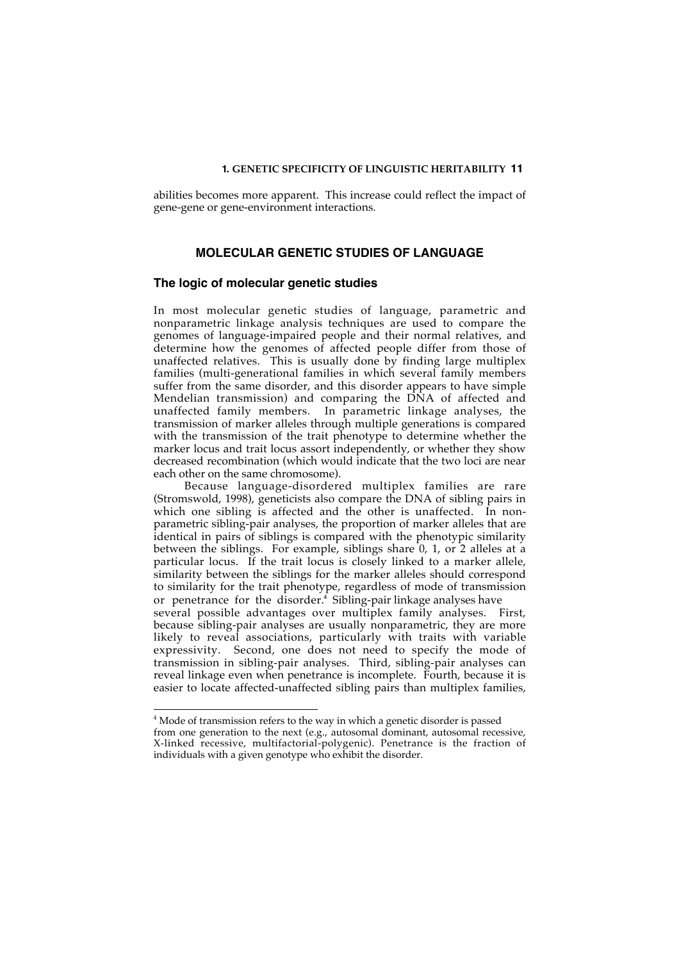abilities becomes more apparent. This increase could reflect the impact of gene-gene or gene-environment interactions.

# **MOLECULAR GENETIC STUDIES OF LANGUAGE**

# **The logic of molecular genetic studies**

In most molecular genetic studies of language, parametric and nonparametric linkage analysis techniques are used to compare the genomes of language-impaired people and their normal relatives, and determine how the genomes of affected people differ from those of unaffected relatives. This is usually done by finding large multiplex families (multi-generational families in which several family members suffer from the same disorder, and this disorder appears to have simple Mendelian transmission) and comparing the DNA of affected and unaffected family members. In parametric linkage analyses, the transmission of marker alleles through multiple generations is compared with the transmission of the trait phenotype to determine whether the marker locus and trait locus assort independently, or whether they show decreased recombination (which would indicate that the two loci are near each other on the same chromosome).

Because language-disordered multiplex families are rare (Stromswold, 1998), geneticists also compare the DNA of sibling pairs in which one sibling is affected and the other is unaffected. In nonparametric sibling-pair analyses, the proportion of marker alleles that are identical in pairs of siblings is compared with the phenotypic similarity between the siblings. For example, siblings share  $0, 1$ , or  $2$  alleles at a particular locus. If the trait locus is closely linked to a marker allele, similarity between the siblings for the marker alleles should correspond to similarity for the trait phenotype, regardless of mode of transmission or penetrance for the disorder.<sup>4</sup> Sibling-pair linkage analyses have several possible advantages over multiplex family analyses. First, because sibling-pair analyses are usually nonparametric, they are more likely to reveal associations, particularly with traits with variable expressivity. Second, one does not need to specify the mode of transmission in sibling-pair analyses. Third, sibling-pair analyses can reveal linkage even when penetrance is incomplete. Fourth, because it is

easier to locate affected-unaffected sibling pairs than multiplex families,

 $\overline{a}$ <sup>4</sup> Mode of transmission refers to the way in which a genetic disorder is passed from one generation to the next (e.g., autosomal dominant, autosomal recessive, X-linked recessive, multifactorial-polygenic). Penetrance is the fraction of

individuals with a given genotype who exhibit the disorder.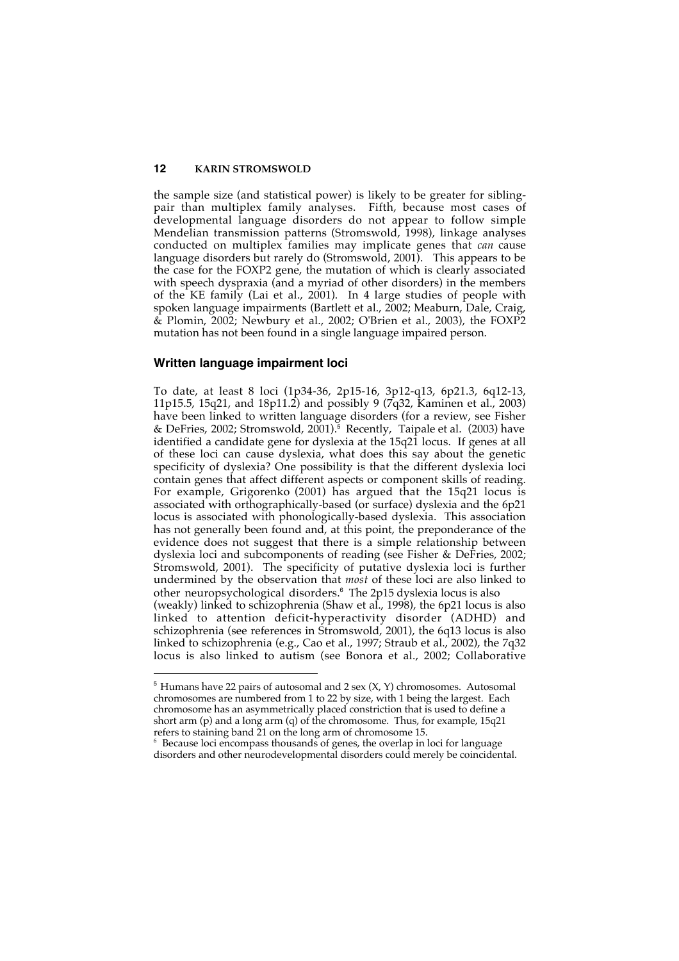the sample size (and statistical power) is likely to be greater for siblingpair than multiplex family analyses. Fifth, because most cases of developmental language disorders do not appear to follow simple Mendelian transmission patterns (Stromswold, 1998), linkage analyses conducted on multiplex families may implicate genes that *can* cause language disorders but rarely do (Stromswold, 2001). This appears to be the case for the FOXP2 gene, the mutation of which is clearly associated with speech dyspraxia (and a myriad of other disorders) in the members of the KE family (Lai et al., 2001). In 4 large studies of people with spoken language impairments (Bartlett et al., 2002; Meaburn, Dale, Craig,  $&$  Plomin, 2002; Newbury et al., 2002; O'Brien et al., 2003), the FOXP2 mutation has not been found in a single language impaired person.

# **Written language impairment loci**

 $\overline{a}$ 

To date, at least 8 loci (1p34-36, 2p15-16, 3p12-q13, 6p21.3, 6q12-13, 11p15.5, 15q21, and 18p11.2) and possibly 9 (7q32, Kaminen et al., 2003) have been linked to written language disorders (for a review, see Fisher & DeFries, 2002; Stromswold, 2001).<sup>5</sup> Recently, Taipale et al. (2003) have identified a candidate gene for dyslexia at the 15q21 locus. If genes at all of these loci can cause dyslexia, what does this say about the genetic specificity of dyslexia? One possibility is that the different dyslexia loci contain genes that affect different aspects or component skills of reading. For example, Grigorenko (2001) has argued that the 15q21 locus is associated with orthographically-based (or surface) dyslexia and the 6p21 locus is associated with phonologically-based dyslexia. This association has not generally been found and, at this point, the preponderance of the evidence does not suggest that there is a simple relationship between dyslexia loci and subcomponents of reading (see Fisher & DeFries, 2002; Stromswold, 2001). The specificity of putative dyslexia loci is further undermined by the observation that *most* of these loci are also linked to other neuropsychological disorders.<sup>6</sup> The 2p15 dyslexia locus is also (weakly) linked to schizophrenia (Shaw et al., 1998), the 6p21 locus is also linked to attention deficit-hyperactivity disorder (ADHD) and schizophrenia (see references in Stromswold, 2001), the 6q13 locus is also linked to schizophrenia (e.g., Cao et al., 1997; Straub et al., 2002), the 7q32 locus is also linked to autism (see Bonora et al., 2002; Collaborative

 $5$  Humans have 22 pairs of autosomal and 2 sex  $(X, Y)$  chromosomes. Autosomal chromosomes are numbered from 1 to 22 by size, with 1 being the largest. Each chromosome has an asymmetrically placed constriction that is used to define a short arm (p) and a long arm (q) of the chromosome. Thus, for example, 15q21 refers to staining band 21 on the long arm of chromosome 15.

<sup>&</sup>lt;sup>6</sup> Because loci encompass thousands of genes, the overlap in loci for language disorders and other neurodevelopmental disorders could merely be coincidental.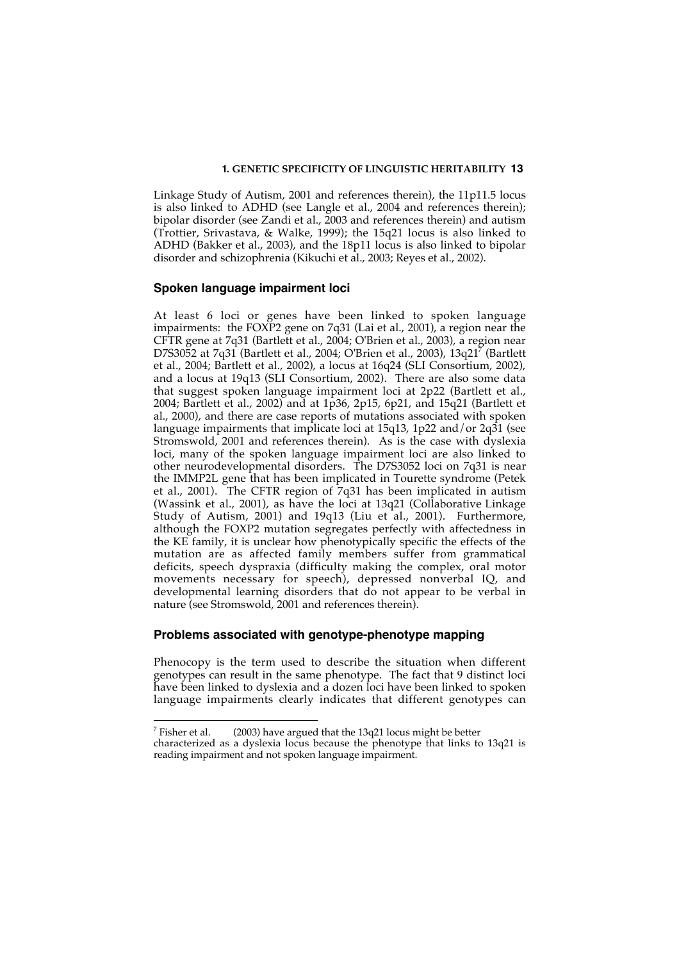Linkage Study of Autism, 2001 and references therein), the 11p11.5 locus is also linked to ADHD (see Langle et al., 2004 and references therein); bipolar disorder (see Zandi et al., 2003 and references therein) and autism (Trottier, Srivastava, & Walke, 1999); the 15q21 locus is also linked to ADHD (Bakker et al., 2003), and the 18p11 locus is also linked to bipolar disorder and schizophrenia (Kikuchi et al., 2003; Reyes et al., 2002).

# **Spoken language impairment loci**

At least 6 loci or genes have been linked to spoken language impairments: the FOXP2 gene on 7q31 (Lai et al., 2001), a region near the CFTR gene at 7q31 (Bartlett et al., 2004; O'Brien et al., 2003), a region near D7S3052 at 7q31 (Bartlett et al., 2004; O'Brien et al., 2003),  $13q21^7$  (Bartlett et al., 2004; Bartlett et al., 2002), a locus at 16q24 (SLI Consortium, 2002), and a locus at 19q13 (SLI Consortium, 2002). There are also some data that suggest spoken language impairment loci at 2p22 (Bartlett et al., 2004; Bartlett et al., 2002) and at 1p36, 2p15, 6p21, and 15q21 (Bartlett et al., 2000), and there are case reports of mutations associated with spoken language impairments that implicate loci at  $15q13$ ,  $1p22$  and/or  $2q31$  (see Stromswold, 2001 and references therein). As is the case with dyslexia loci, many of the spoken language impairment loci are also linked to other neurodevelopmental disorders. The D7S3052 loci on 7q31 is near the IMMP2L gene that has been implicated in Tourette syndrome (Petek et al., 2001). The CFTR region of 7q31 has been implicated in autism (Wassink et al., 2001), as have the loci at 13q21 (Collaborative Linkage Study of Autism, 2001) and 19q13 (Liu et al., 2001). Furthermore, although the FOXP2 mutation segregates perfectly with affectedness in the KE family, it is unclear how phenotypically specific the effects of the mutation are as affected family members suffer from grammatical deficits, speech dyspraxia (difficulty making the complex, oral motor movements necessary for speech), depressed nonverbal IQ, and developmental learning disorders that do not appear to be verbal in nature (see Stromswold, 2001 and references therein).

# **Problems associated with genotype-phenotype mapping**

Phenocopy is the term used to describe the situation when different genotypes can result in the same phenotype. The fact that 9 distinct loci have been linked to dyslexia and a dozen loci have been linked to spoken language impairments clearly indicates that different genotypes can

 $\overline{a}$ 

 $7$  Fisher et al.  $(2003)$  have argued that the 13q21 locus might be better

characterized as a dyslexia locus because the phenotype that links to 13q21 is reading impairment and not spoken language impairment.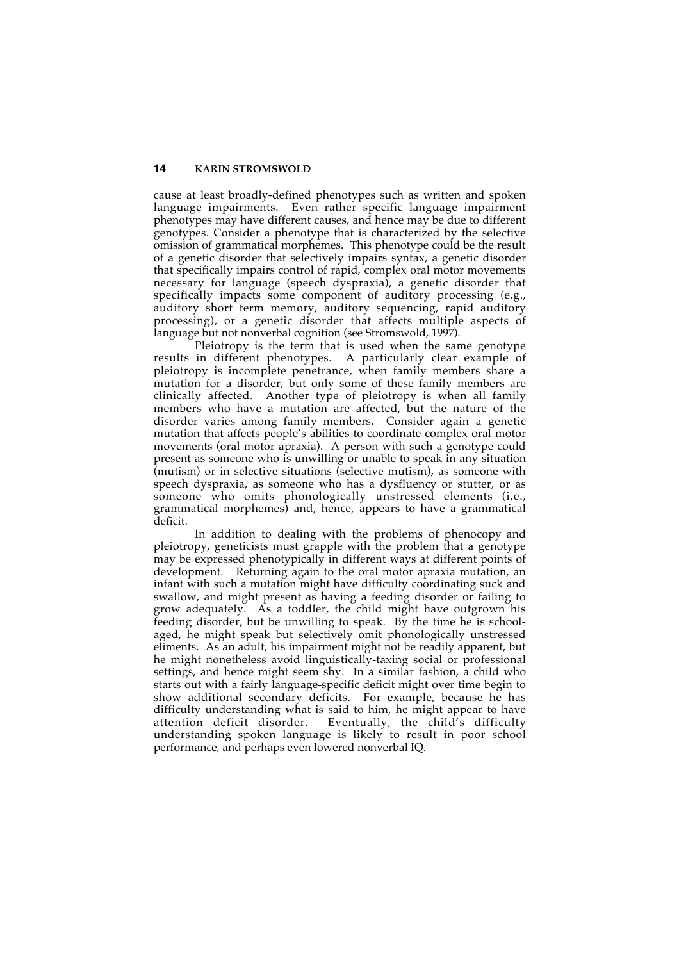cause at least broadly-defined phenotypes such as written and spoken language impairments. Even rather specific language impairment phenotypes may have different causes, and hence may be due to different genotypes. Consider a phenotype that is characterized by the selective omission of grammatical morphemes. This phenotype could be the result of a genetic disorder that selectively impairs syntax, a genetic disorder that specifically impairs control of rapid, complex oral motor movements necessary for language (speech dyspraxia), a genetic disorder that specifically impacts some component of auditory processing (e.g., auditory short term memory, auditory sequencing, rapid auditory processing), or a genetic disorder that affects multiple aspects of language but not nonverbal cognition (see Stromswold, 1997).

Pleiotropy is the term that is used when the same genotype results in different phenotypes. A particularly clear example of pleiotropy is incomplete penetrance, when family members share a mutation for a disorder, but only some of these family members are clinically affected. Another type of pleiotropy is when all family members who have a mutation are affected, but the nature of the disorder varies among family members. Consider again a genetic mutation that affects people's abilities to coordinate complex oral motor movements (oral motor apraxia). A person with such a genotype could present as someone who is unwilling or unable to speak in any situation (mutism) or in selective situations (selective mutism), as someone with speech dyspraxia, as someone who has a dysfluency or stutter, or as someone who omits phonologically unstressed elements (i.e., grammatical morphemes) and, hence, appears to have a grammatical deficit.

In addition to dealing with the problems of phenocopy and pleiotropy, geneticists must grapple with the problem that a genotype may be expressed phenotypically in different ways at different points of development. Returning again to the oral motor apraxia mutation, an infant with such a mutation might have difficulty coordinating suck and swallow, and might present as having a feeding disorder or failing to grow adequately. As a toddler, the child might have outgrown his feeding disorder, but be unwilling to speak. By the time he is schoolaged, he might speak but selectively omit phonologically unstressed eliments. As an adult, his impairment might not be readily apparent, but he might nonetheless avoid linguistically-taxing social or professional settings, and hence might seem shy. In a similar fashion, a child who starts out with a fairly language-specific deficit might over time begin to show additional secondary deficits. For example, because he has difficulty understanding what is said to him, he might appear to have attention deficit disorder. Eventually, the child's difficulty understanding spoken language is likely to result in poor school performance, and perhaps even lowered nonverbal IQ.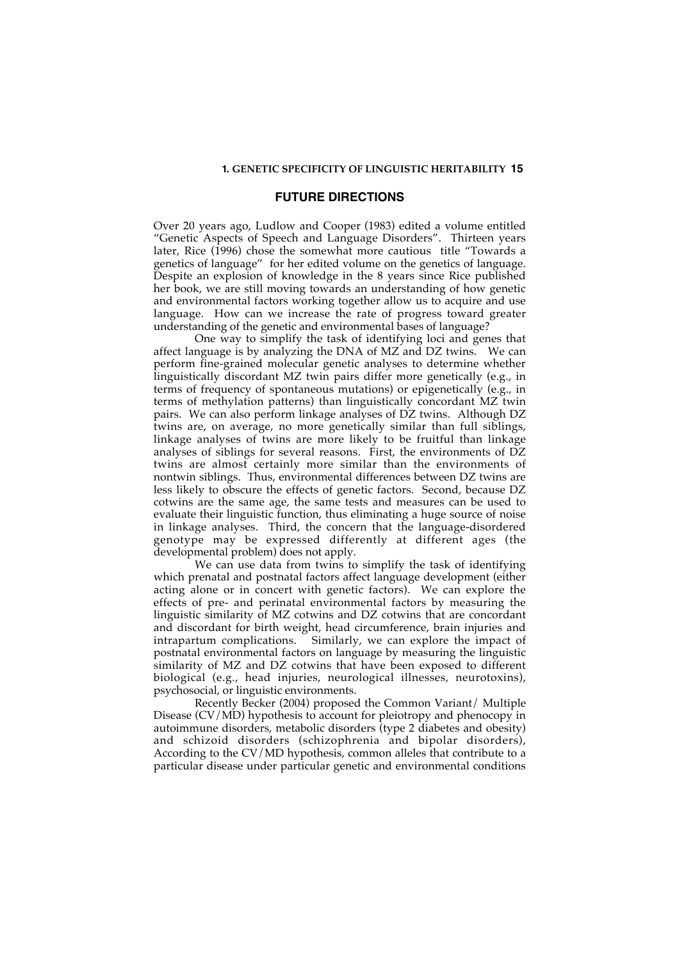### **FUTURE DIRECTIONS**

Over 20 years ago, Ludlow and Cooper (1983) edited a volume entitled "Genetic Aspects of Speech and Language Disorders". Thirteen years later, Rice (1996) chose the somewhat more cautious title "Towards a genetics of language" for her edited volume on the genetics of language. Despite an explosion of knowledge in the 8 years since Rice published her book, we are still moving towards an understanding of how genetic and environmental factors working together allow us to acquire and use language. How can we increase the rate of progress toward greater understanding of the genetic and environmental bases of language?

One way to simplify the task of identifying loci and genes that affect language is by analyzing the DNA of MZ and DZ twins. We can perform fine-grained molecular genetic analyses to determine whether linguistically discordant MZ twin pairs differ more genetically (e.g., in terms of frequency of spontaneous mutations) or epigenetically (e.g., in terms of methylation patterns) than linguistically concordant MZ twin pairs. We can also perform linkage analyses of DZ twins. Although DZ twins are, on average, no more genetically similar than full siblings, linkage analyses of twins are more likely to be fruitful than linkage analyses of siblings for several reasons. First, the environments of DZ twins are almost certainly more similar than the environments of nontwin siblings. Thus, environmental differences between DZ twins are less likely to obscure the effects of genetic factors. Second, because DZ cotwins are the same age, the same tests and measures can be used to evaluate their linguistic function, thus eliminating a huge source of noise in linkage analyses. Third, the concern that the language-disordered genotype may be expressed differently at different ages (the developmental problem) does not apply.

We can use data from twins to simplify the task of identifying which prenatal and postnatal factors affect language development (either acting alone or in concert with genetic factors). We can explore the effects of pre- and perinatal environmental factors by measuring the linguistic similarity of MZ cotwins and DZ cotwins that are concordant and discordant for birth weight, head circumference, brain injuries and intrapartum complications. Similarly, we can explore the impact of postnatal environmental factors on language by measuring the linguistic similarity of MZ and DZ cotwins that have been exposed to different biological (e.g., head injuries, neurological illnesses, neurotoxins), psychosocial, or linguistic environments.

Recently Becker (2004) proposed the Common Variant/ Multiple Disease (CV/MD) hypothesis to account for pleiotropy and phenocopy in autoimmune disorders, metabolic disorders (type 2 diabetes and obesity) and schizoid disorders (schizophrenia and bipolar disorders), According to the CV/MD hypothesis, common alleles that contribute to a particular disease under particular genetic and environmental conditions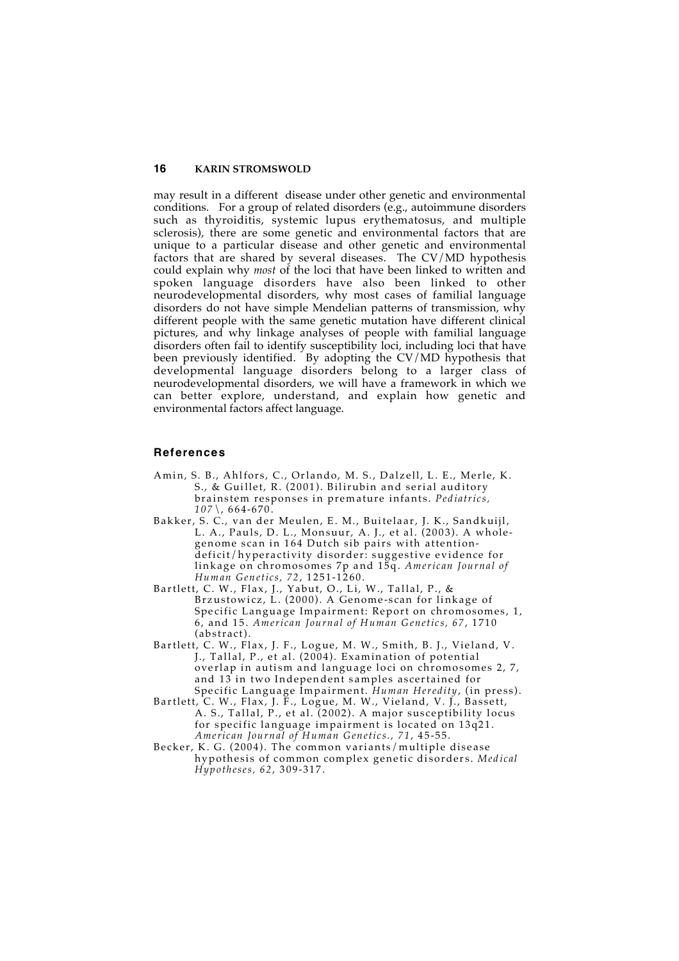may result in a different disease under other genetic and environmental conditions. For a group of related disorders (e.g., autoimmune disorders such as thyroiditis, systemic lupus erythematosus, and multiple sclerosis), there are some genetic and environmental factors that are unique to a particular disease and other genetic and environmental factors that are shared by several diseases. The CV/MD hypothesis could explain why *most* of the loci that have been linked to written and spoken language disorders have also been linked to other neurodevelopmental disorders, why most cases of familial language disorders do not have simple Mendelian patterns of transmission, why different people with the same genetic mutation have different clinical pictures, and why linkage analyses of people with familial language disorders often fail to identify susceptibility loci, including loci that have been previously identified. By adopting the CV/MD hypothesis that developmental language disorders belong to a larger class of neurodevelopmental disorders, we will have a framework in which we can better explore, understand, and explain how genetic and environmental factors affect language.

#### **References**

- Amin, S. B., Ahlfors, C., Orlando, M. S., Dalzell, L. E., Merle, K. S., & Guillet, R. (2001). Bilirubin and serial auditory bra ins tem responses in premature infant s . *Ped iatric s, 107\*, 6 64-670 .
- Bak ker, S. C., van der Meulen, E. M., Buitelaar, J. K., Sandkuijl, L. A., Pauls, D. L., Monsuur, A. J., et al. (2003). A wholegenome scan in 164 Dutch sib pairs with attentiondeficit/hyperactivity disorder: suggestive evidence for lin kage on chromosome s 7p a nd 15q . *American Journa l of Human Gen etic s, 72*, 1 251-12 60.
- Bartlett, C. W., Flax, J., Yabut, O., Li, W., Tallal, P., & Brzustowicz, L. (2000). A Genome-scan for linkage of Specific Language Impairment: Report on chromosomes, 1, 6, and 15 . *American Journa l of Human Genetic s, 67*, 1 710 (abstract).
- Bartlett, C. W., Flax, J. F., Logue, M. W., Smith, B. J., Vieland, V.  $I.$ , Tallal, P., et al.  $(2004)$ . Examination of potential overlap in autism and language loci on chromosomes 2, 7, and 13 in two Independent samples ascertained for Specific Language Impairment. Human Heredity, (in press).
- Bartlett, C. W., Flax, J. F., Logue, M. W., Vieland, V. J., Bassett, A. S., Tallal, P., et al. (2002). A major susceptibility locus for specific language impairment is located on 13q21. *American Journa l of Human Genetic s., 71*, 4 5-55.
- Becker, K. G. (2004). The common variants/multiple disease hypothesis of common complex genetic disorders. *Medical Hyp otheses, 62*, 3 09-317 .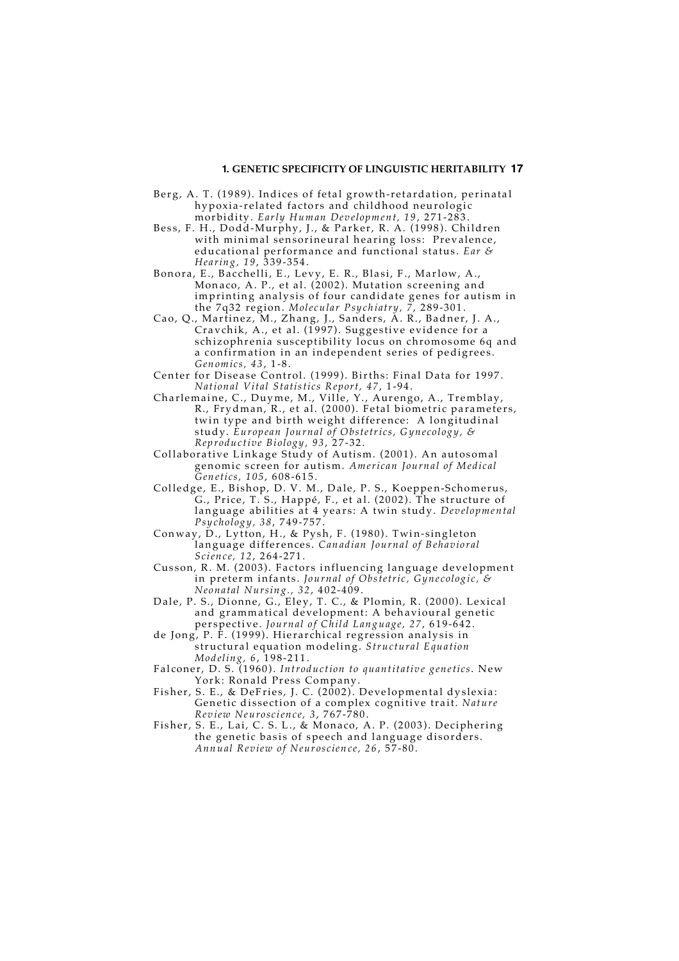- Berg, A. T. (1989). Indices of fetal growth-retardation, perinatal hypoxia-related factors and childhood neurologic morbidity. Early Human Development, 19, 271-283.
- Bess, F. H., Dodd-Murphy, J., & Parker, R. A. (1998). Children with minimal sensorineural hearing loss: Prevalence, educational performance and functional status. Ear &
- Equivalent performance and content theorem.<br> *Hearing*, 19, 339-354.<br>
Bonora, E., Bacchelli, E., Levy, E. R., Blasi, F., Marlow, A.,<br>
Monaco, A. P., et al. (2002). Mutation screening and imprinting analysis of four candidate genes for autism in the 7q32 region. Molecular Psychiatry, 7, 289-301.<br>Cao, Q., Martinez, M., Zhang, J., Sanders, A. R., Badner, J. A.,
- Cravchik, A., et al. (1997). Suggestive evidence for a schizophrenia susceptibility locus on chromosome 6q and a confirmation in an independent series of pedigrees. Genomics, 43, 1-8.
- Center for Disease Control. (1999). Births: Final Data for 1997. National Vital Statistics Report, 47, 1-94.
- Charlemaine, C., Duyme, M., Ville, Y., Aurengo, A., Tremblay,<br>R., Frydman, R., et al. (2000). Fetal biometric parameters, twin type and birth weight difference: A longitudinal study. European Journal of Obstetrics, Gynecology, & Reproductive Biology, 93, 27-32.
- Collaborative Linkage Study of Autism. (2001). An autosomal genomic screen for autism. American Journal of Medical Genetics, 105, 608-615.
- Colledge, E., Bishop, D. V. M., Dale, P. S., Koeppen-Schomerus,<br>G., Price, T. S., Happé, F., et al. (2002). The structure of<br>language abilities at 4 years: A twin study. Developmental Psychology, 38, 749-757.
- Conway, D., Lytton, H., & Pysh, F. (1980). Twin-singleton language differences. Canadian Journal of Behavioral Science, 12, 264-271.
- Cusson, R. M. (2003). Factors influencing language development in preterm infants. Journal of Obstetric, Gynecologic, & Neonatal Nursing., 32, 402-409.<br>Dale, P. S., Dionne, G., Eley, T. C., & Plomin, R. (2000). Lexical
- and grammatical development: A behavioural genetic perspective. Journal of Child Language, 27, 619-642.
- de Jong, P. F. (1999). Hierarchical regression analysis in structural equation modeling. Structural Equation Modeling, 6, 198-211.
- Falconer, D. S. (1960). Introduction to quantitative genetics. New York: Ronald Press Company.
- Fisher, S. E., & DeFries, J. C. (2002). Developmental dyslexia: Genetic dissection of a complex cognitive trait. Nature Review Neuroscience, 3, 767-780.
- Fisher, S. E., Lai, C. S. L., & Monaco, A. P. (2003). Deciphering the genetic basis of speech and language disorders. Annual Review of Neuroscience, 26, 57-80.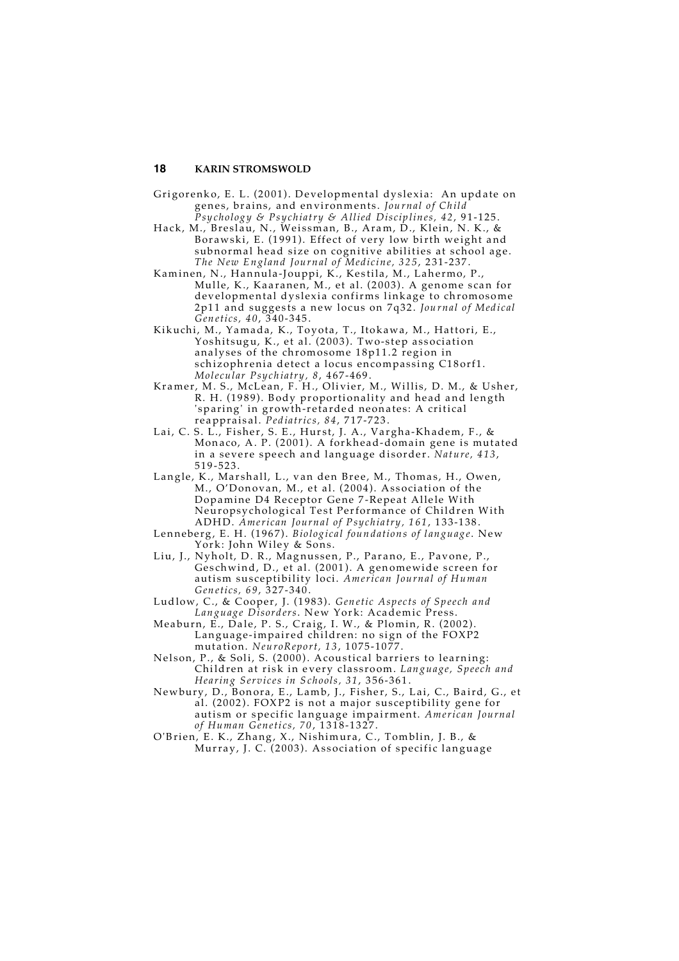- Grigorenko, E. L. (2001). Developmental dyslexia: An update on genes, brains, and environments. Journal of Child Psychology & Psychiatry & Allied Disciplines, 42, 91-125.
- Hack, M., Breslau, N., Weissman, B., Aram, D., Klein, N. K., & Borawski, E. (1991). Effect of very low birth weight and subnormal head size on cognitive abilities at school age. The New England Journal of Medicine, 325, 231-237.<br>Kaminen, N., Hannula-Jouppi, K., Kestila, M., Lahermo, P.,
- Mulle, K., Kaaranen, M., et al. (2003). A genome scan for developmental dyslexia confirms linkage to chromosome 2p11 and suggests a new locus on 7q32. Journal of Medical Genetics, 40, 340-345.
- Kikuchi, M., Yamada, K., Toyota, T., Itokawa, M., Hattori, E., Yoshitsugu, K., et al. (2003). Two-step association analyses of the chromosome 18p11.2 region in schizophrenia detect a locus encompassing C18orf1. Molecular Psychiatry, 8, 467-469.
- Kramer, M. S., McLean, F. H., Olivier, M., Willis, D. M., & Usher, R. H. (1989). Body proportionality and head and length 'sparing' in growth-retarded neonates: A critical reappraisal. Pediatrics, 84, 717-723.
- Lai, C. S. L., Fisher, S. E., Hurst, J. A., Vargha-Khadem, F., & Monaco, A. P. (2001). A forkhead-domain gene is mutated in a severe speech and language disorder. Nature, 413, 519-523
- Langle, K., Marshall, L., van den Bree, M., Thomas, H., Owen, M., O'Donovan, M., et al. (2004). Association of the Dopamine D4 Receptor Gene 7-Repeat Allele With<br>Neuropsychological Test Performance of Children With ADHD. American Journal of Psychiatry, 161, 133-138.
- Lenneberg, E. H. (1967). Biological foundations of language. New York: John Wiley & Sons.
- Liu, J., Nyholt, D. R., Magnussen, P., Parano, E., Pavone, P., Geschwind, D., et al. (2001). A genomewide screen for autism susceptibility loci. American Journal of Human Genetics, 69, 327-340.
- Ludlow, C., & Cooper, J. (1983). Genetic Aspects of Speech and Language Disorders. New York: Academic Press.
- Meaburn, E., Dale, P. S., Craig, I. W., & Plomin, R. (2002). Language-impaired children: no sign of the FOXP2 mutation. NeuroReport, 13, 1075-1077.
- Nelson, P., & Soli, S. (2000). Acoustical barriers to learning: Children at risk in every classroom. Language, Speech and Hearing Services in Schools, 31, 356-361.
- Newbury, D., Bonora, E., Lamb, J., Fisher, S., Lai, C., Baird, G., et al. (2002). FOXP2 is not a major susceptibility gene for autism or specific language impairment. American Journal
- of Human Genetics, 70, 1318-1327.<br>O'Brien, E. K., Zhang, X., Nishimura, C., Tomblin, J. B., &<br>Murray, J. C. (2003). Association of specific language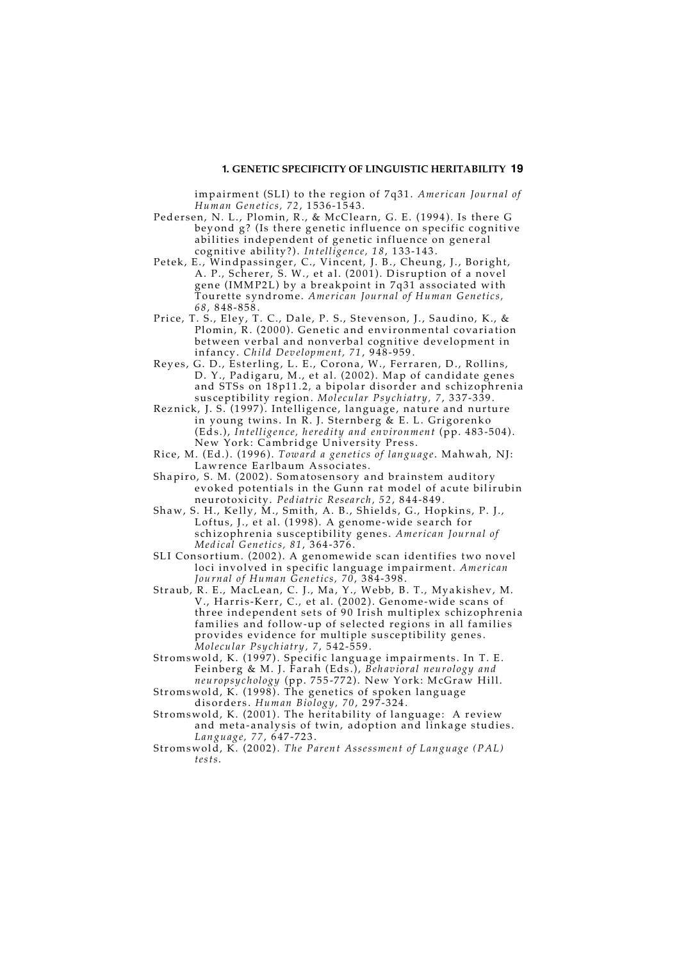impairment (SLI) to the region of 7q31. American Journal of Human Genetics, 72, 1536-1543.

- Pedersen, N. L., Plomin, R., & McClearn, G. E. (1994). Is there G beyond g? (Is there genetic influence on specific cognitive abilities independent of genetic influence on general cognitive ability?). Intelligence, 18, 133-143.
- Petek, E., Windpassinger, C., Vincent, J. B., Cheung, J., Boright,<br>A. P., Scherer, S. W., et al. (2001). Disruption of a novel<br>gene (IMMP2L) by a breakpoint in 7q31 associated with<br>Tourette syndrome. American Journal of Hu 68.848-858.
- Price, T. S., Eley, T. C., Dale, P. S., Stevenson, J., Saudino, K., & Plomin, R. (2000). Genetic and environmental covariation between verbal and nonverbal cognitive development in infancy. Child Development, 71, 948-959.<br>Reyes, G. D., Esterling, L. E., Corona, W., Ferraren, D., Rollins,
- D. Y., Padigaru, M., et al. (2002). Map of candidate genes and STSs on 18p11.2, a bipolar disorder and schizophrenia susceptibility region. Molecular Psychiatry, 7, 337-339.
- Reznick, J. S. (1997). Intelligence, language, nature and nurture in young twins. In R. J. Sternberg & E. L. Grigorenko (Eds.), Intelligence, heredity and environment (pp. 483-504). New York: Cambridge University Press.
- Rice, M. (Ed.). (1996). Toward a genetics of language. Mahwah, NJ: Lawrence Earlbaum Associates.
- Shapiro, S. M. (2002). Somatosensory and brainstem auditory evoked potentials in the Gunn rat model of acute bilirubin neurotoxicity. Pediatric Research, 52, 844-849.
- Shaw, S. H., Kelly, M., Smith, A. B., Shields, G., Hopkins, P. J., Loftus, J., et al. (1998). A genome-wide search for<br>schizophrenia susceptibility genes. American Journal of Medical Genetics, 81, 364-376.<br>SLI Consortium. (2002). A genomewide scan identifies two novel
- loci involved in specific language impairment. American
- Journal of Human Genetics, 70, 384-398.<br>Straub, R. E., MacLean, C. J., Ma, Y., Webb, B. T., Myakishev, M.<br>V., Harris-Kerr, C., et al. (2002). Genome-wide scans of<br>three independent sets of 90 Irish multiplex schizophrenia families and follow-up of selected regions in all families provides evidence for multiple susceptibility genes. Molecular Psychiatry, 7, 542-559.<br>Stromswold, K. (1997). Specific language impairments. In T. E.
- 
- From word, R. (1997). Specific tanguage impairments: In 1: E.<br>Feinberg & M. J. Farah (Eds.), Behavioral neurology and<br>neuropsychology (pp. 755-772). New York: McGraw Hill.<br>Stromswold, K. (1998). The genetics of spoken lang
	- disorders. Human Biology, 70, 297-324.
- Stromswold, K. (2001). The heritability of language: A review and meta-analysis of twin, adoption and linkage studies. Language, 77, 647-723.<br>Stromswold, K. (2002). The Parent Assessment of Language (PAL)
- $f\rho g f g$